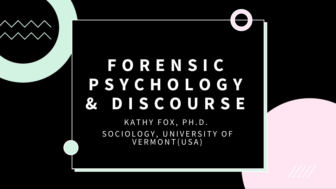### **FORENSIC PSYCHOLOGY & DISCOURSE**

KATHY FOX, PH.D. SOCIOLOGY, UNIVERSITY OF VERMONT(USA)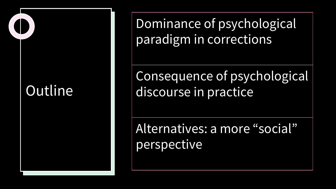#### **Outline**

Dominance of psychological paradigm in corrections

Consequence of psychological discourse in practice

Alternatives: a more "social" perspective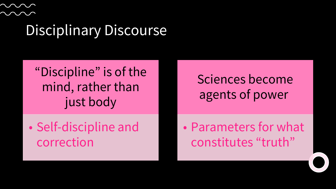#### Disciplinary Discourse

"Discipline" is of the mind, rather than just body

• Self-discipline and correction

Sciences become agents of power

• Parameters for what constitutes "truth"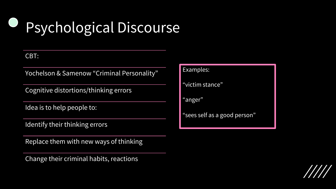## Psychological Discourse

#### CBT:

Yochelson & Samenow "Criminal Personality"

Cognitive distortions/thinking errors

Idea is to help people to:

Identify their thinking errors

Replace them with new ways of thinking

Change their criminal habits, reactions

Examples:

"victim stance"

"anger"

"sees self as a good person"

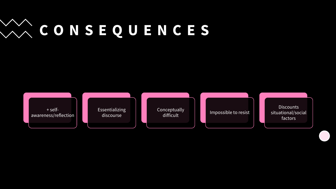# **CONSEQUENCES**

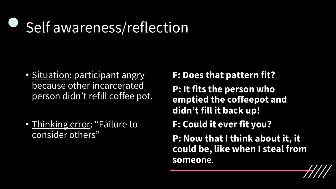### Self awareness/reflection

- Situation: participant angry because other incarcerated person didn't refill coffee pot.
- Thinking error: "Failure to consider others"

**F: Does that pattern fit?**

**P: It fits the person who emptied the coffeepot and didn't fill it back up!**

**F: Could it ever fit you?**

**P: Now that I think about it, it could be, like when I steal from someo**ne.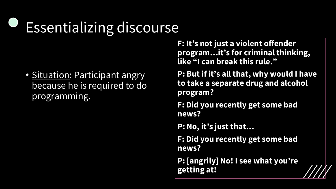## Essentializing discourse

• Situation: Participant angry because he is required to do programming.

**F: It's not just a violent offender program…it's for criminal thinking, like "I can break this rule."**

**P: But if it's all that, why would I have to take a separate drug and alcohol program?**

**F: Did you recently get some bad news?**

**P: No, it's just that…**

**F: Did you recently get some bad news?**

**P: [angrily] No! I see what you're getting at!**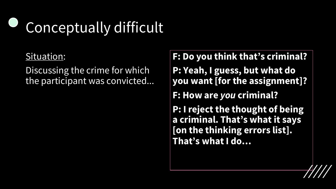## Conceptually difficult

#### Situation:

Discussing the crime for which the participant was convicted...

**F: Do you think that's criminal? P: Yeah, I guess, but what do you want [for the assignment]? F: How are** *you* **criminal? P: I reject the thought of being a criminal. That's what it says [on the thinking errors list]. That's what I do…**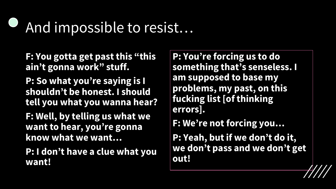### And impossible to resist…

**F: You gotta get past this "this ain't gonna work" stuff.**

**P: So what you're saying is I shouldn't be honest. I should tell you what you wanna hear?**

**F: Well, by telling us what we want to hear, you're gonna know what we want…**

**P: I don't have a clue what you want!**

**P: You're forcing us to do something that's senseless. I am supposed to base my problems, my past, on this fucking list [of thinking errors].**

**F: We're not forcing you…**

**P: Yeah, but if we don't do it, we don't pass and we don't get out!**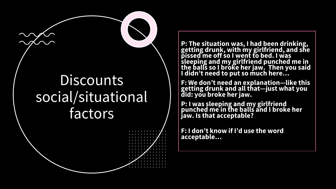#### **Discounts** social/situational factors

**P: The situation was, I had been drinking, getting drunk, with my girlfriend, and she pissed me off so I went to bed. I was sleeping and my girlfriend punched me in the balls so I broke her jaw. Then you said I didn't need to put so much here…**

**F: We don't need an explanation—like this getting drunk and all that—just what you did: you broke her jaw.**

**P: I was sleeping and my girlfriend punched me in the balls and I broke her jaw. Is that acceptable?** 

**F: I don't know if I'd use the word acceptable…**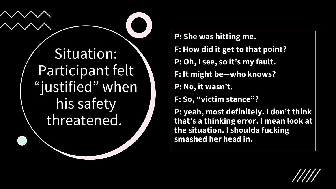

**P: She was hitting me. F: How did it get to that point? P: Oh, I see, so it's my fault. F: It might be—who knows? P: No, it wasn't. F: So, "victim stance"? P: yeah, most definitely. I don't think that's a thinking error. I mean look at the situation. I shoulda fucking smashed her head in.**

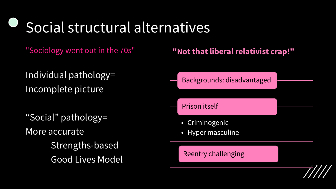### Social structural alternatives

Individual pathology= Incomplete picture

"Social" pathology= More accurate Strengths-based Good Lives Model